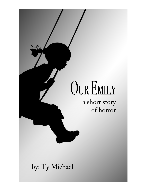# **OUR EMILY**

a short story of horror

by: Ty Michael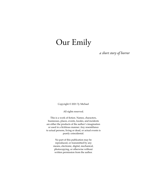# Our Emily

*a short story of horror*

Copyright © 2021 Ty Michael

All rights reserved.

This is a work of fiction. Names, characters, businesses, places, events, locales, and incidents are either the products of the author's imagination or used in a fictitious manner. Any resemblance to actual persons, living or dead, or actual events is purely coincidental.

> No part of this publication may be reproduced, or transmitted by any means, electronic, digital, mechanical, photocopying, or otherwise without written permission from the author.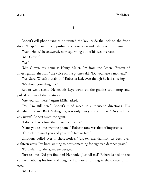1

Robert's cell phone rang as he twisted the key inside the lock on the front door. "Crap," he mumbled, pushing the door open and fshing out his phone.

"Yeah. Hello," he answered, now squirming out of his wet overcoat.

"Mr. Glover."

"Yes."

"Mr. Glover, my name is Henry Miller. I'm from the Federal Bureau of Investigation, the FBI," the voice on the phone said. "Do you have a moment?"

"Yes. Sure. What's this about?" Robert asked, even though he had a feeling. "It's about your daughter."

Robert went silent. He set his keys down on the granite countertop and pulled out one of the barstools.

"Are you still there?" Agent Miller asked.

"Yes, I'm still here." Robert's mind raced in a thousand directions. His daughter, his and Becky's daughter, was only two years old then. "Do you have any news?" Robert asked the agent.

"I do. Is there a time that I could come by?"

"Can't you tell me over the phone?" Robert's tone was that of impatience.

"I'd prefer to meet you and your wife face to face."

Emotions boiled over in short notice. "Just tell me, dammit. It's been over eighteen years. I've been waiting to hear something for eighteen damned years."

"I'd prefer …," the agent encouraged.

"Just tell me. Did you fnd her? Her body? Just tell me!" Robert leaned on the counter, rubbing his forehead roughly. Tears were forming in the corners of his eyes.

"Mr. Glover."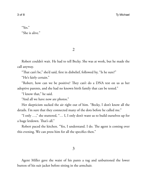## "Yes." "She is alive."

2

Robert couldn't wait. He had to tell Becky. She was at work, but he made the call anyway.

"That can't be," she'd said, first in disbelief, followed by, "Is he sure?"

"He's fairly certain."

"Robert, how can we be positive? They can't do a DNA test on us as her adoptive parents, and she had no known birth family that can be tested."

"I know that," he said.

"And all we have now are photos."

Her skepticism sucked the air right out of him. "Becky, I don't know all the details. I'm sure that they connected many of the dots before he called me."

"I only …," she stuttered, "… I, I only don't want us to build ourselves up for a huge letdown. That's all."

Robert paced the kitchen. "Yes, I understand. I do. The agent is coming over this evening. We can press him for all the specifcs then."

3

Agent Miller gave the waist of his pants a tug and unbuttoned the lower button of his suit jacket before sitting in the armchair.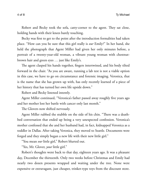Robert and Becky took the sofa, catty-corner to the agent. They sat close, holding hands with their knees barely touching.

Becky was frst to get to the point after the introduction formalities had taken place. "How can you be sure that this girl really is *our* Emily?" In her hand, she held the photograph that Agent Miller had given her only minutes before, a portrait of a twenty-year-old woman, a vibrant young woman with chestnutbrown hair and green eyes … just like Emily's.

The agent clasped his hands together, fingers intertwined, and his body tilted forward in the chair. "As you are aware, running a lab test is not a viable option in this case, we have to go on circumstance and forensic imaging. Veronica, that is the name that she has grown up with, has only recently learned of a piece of her history that has turned her own life upside down."

Robert and Becky listened intently.

Agent Miller continued, "Veronica's father passed away roughly fve years ago and her mother lost her battle with cancer only last month."

The Glovers now shifted nervously.

Agent Miller rubbed the stubble on the side of his chin. "There was a deathbed conversation that ended up being a very unexpected confession. Veronica's mother confessed that she and her husband had, in fact, kidnapped Veronica as a toddler in Dallas. After taking Veronica, they moved to Seattle. Documents were forged and they simply began a new life with their new little girl."

"You mean *our* little girl," Robert blurted out.

"Yes, Mr. Glover, *your* little girl."

Robert's thoughts went back to that day, eighteen years ago. It was a pleasant day, December the thirteenth. Only two weeks before Christmas and Emily had nearly two dozen presents wrapped and waiting under the tree. None were expensive or extravagant, just cheaper, trinket-type toys from the discount store.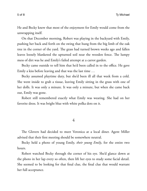He and Becky knew that most of the enjoyment for Emily would come from the unwrapping itself.

On that December morning, Robert was playing in the backyard with Emily, pushing her back and forth on the swing that hung from the big limb of the oak tree in the corner of the yard. The grass had turned brown weeks ago and fallen leaves loosely blanketed the upturned soil near the wooden fence. The lumpy mess of dirt was he and Emily's failed attempt at a carrot garden.

Becky came outside to tell him that he'd been called in to the office. He gave Emily a kiss before leaving and that was the last time …

Becky assumed playtime duty, but she'd been ill all that week from a cold. She went inside to grab a tissue, leaving Emily sitting in the grass with one of her dolls. It was only a minute. It was only a minute, but when she came back out, Emily was gone.

Robert still remembered exactly what Emily was wearing. She had on her favorite dress. It was bright blue with white polka dots on it.

### 4

The Glovers had decided to meet Veronica at a local diner. Agent Miller advised that their frst meeting should be somewhere neutral.

Becky held a photo of young Emily, *their young Emily*, for the entire two hours.

Robert watched Becky through the corner of his eye. She'd glance down at the photo in her lap every so often, then lift her eyes to study some facial detail. She seemed to be looking for that fnal clue, the fnal clue that would warrant her full acceptance.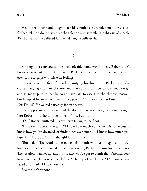He, on the other hand, fought back his emotions the whole time. It was a farfetched tale, no doubt, stranger-than-fction and something right out of a cable TV drama. But he believed it. Deep down, he believed it.

5

Striking up a conversation on the dark ride home was fruitless. Robert didn't know what to ask, didn't know what Becky was feeling and, in a way, had not even come to grips with his own feelings.

Robert sat on the foot of their bed, untying his shoes while Becky was in the closet changing into flannel shorts and a loose t-shirt. There were so many ways and so many phrases that he could have said to ease into the obvious tension, but he opted for straight-forward. "So, you don't think that she is Emily, do you? *Our* Emily?" He waited patiently for an answer.

She stepped into the opening of the doorway, arms crossed, eyes looking right into Robert's and she confdently said, "No, I don't."

"Oh," Robert muttered, his own eyes falling to the foor.

"I'm sorry, Robert," she said, "I know how much you want this to be true. I know how you've dreamed of fnding her ever since … I know how much you hurt. I ... I just don't think that girl is our Emily."

"But I do!" The words came out of his mouth without thought and much louder than he had intended. "It all makes sense, Becky. The timelines match up. The location matches up, and shit, Becky, you've got to admit that Veronica does look like her. Did you see her left ear? The top of her left ear? Did you see the faded birthmark? I know you saw it."

Becky didn't respond.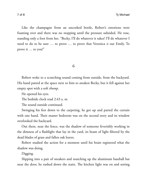Like the champagne from an uncorked bottle, Robert's emotions were foaming over and there was no stopping until the pressure subsided. He rose, standing only a foot from her. "Becky, I'll do whatever it takes! I'll do whatever I need to do to be sure … to prove … to prove that Veronica *is* our Emily. To prove it … to you!"

6

Robert woke to a scratching sound coming from outside, from the backyard. His hand patted at the space next to him to awaken Becky, but it fell against her empty spot with a soft *thump*.

He opened his eyes.

The bedside clock read 2:43 a.m.

The sound outside continued.

Swinging his feet down to the carpeting, he got up and parted the curtain with one hand. Their master bedroom was on the second story and its window overlooked the backyard.

Out there, near the fence, was the shadow of someone feverishly working in the dimness of a fashlight that lay in the yard, its beam of light fltered by the dead blades of grass and fallen oak leaves.

Robert studied the action for a moment until his brain registered what the shadow was doing.

Digging.

Slipping into a pair of sneakers and snatching up the aluminum baseball bat near the door, he rushed down the stairs. The kitchen light was on and setting